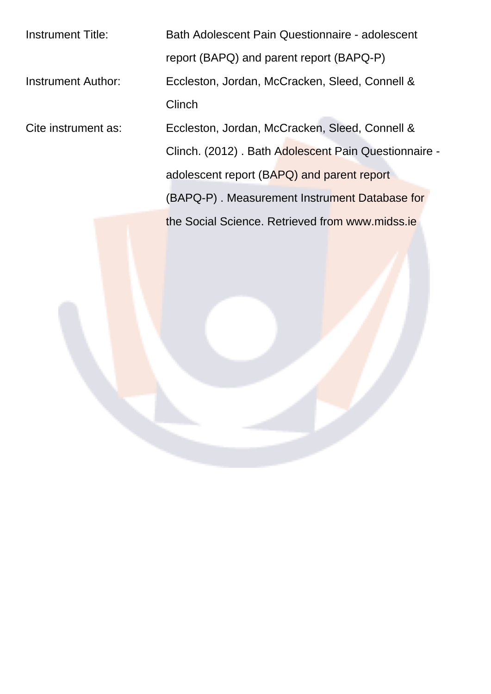| <b>Instrument Title:</b> | Bath Adolescent Pain Questionnaire - adolescent      |  |  |  |  |  |
|--------------------------|------------------------------------------------------|--|--|--|--|--|
|                          | report (BAPQ) and parent report (BAPQ-P)             |  |  |  |  |  |
| Instrument Author:       | Eccleston, Jordan, McCracken, Sleed, Connell &       |  |  |  |  |  |
|                          | Clinch                                               |  |  |  |  |  |
| Cite instrument as:      | Eccleston, Jordan, McCracken, Sleed, Connell &       |  |  |  |  |  |
|                          | Clinch. (2012). Bath Adolescent Pain Questionnaire - |  |  |  |  |  |
|                          | adolescent report (BAPQ) and parent report           |  |  |  |  |  |
|                          | (BAPQ-P). Measurement Instrument Database for        |  |  |  |  |  |
|                          | the Social Science. Retrieved from www.midss.ie      |  |  |  |  |  |
|                          |                                                      |  |  |  |  |  |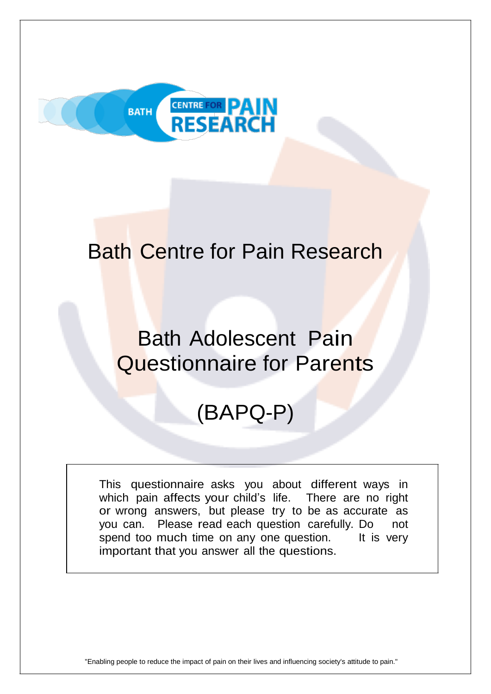

## Bath Centre for Pain Research

## Bath Adolescent Pain Questionnaire for Parents

# (BAPQ-P)

This questionnaire asks you about different ways in which pain affects your child's life. There are no right or wrong answers, but please try to be as accurate as you can. Please read each question carefully. Do not spend too much time on any one question. It is very important that you answer all the questions.

"Enabling people to reduce the impact of pain on their lives and influencing society's attitude to pain."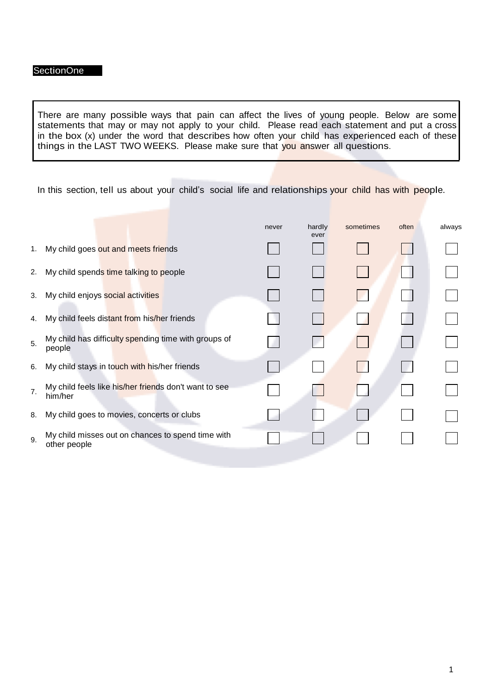There are many possible ways that pain can affect the lives of young people. Below are some statements that may or may not apply to your child. Please read each statement and put a cross in the box (x) under the word that describes how often your child has experienced each of these things in the LAST TWO WEEKS. Please make sure that you answer all questions.

In this section, tell us about your child's social life and relationships your child has with people.

|                |                                                                   | never | hardly<br>ever | sometimes | often | always |
|----------------|-------------------------------------------------------------------|-------|----------------|-----------|-------|--------|
| 1.             | My child goes out and meets friends                               |       |                |           |       |        |
| 2.             | My child spends time talking to people                            |       |                |           |       |        |
| 3.             | My child enjoys social activities                                 |       |                |           |       |        |
| 4.             | My child feels distant from his/her friends                       |       |                |           |       |        |
| 5.             | My child has difficulty spending time with groups of<br>people    |       |                |           |       |        |
| 6.             | My child stays in touch with his/her friends                      |       |                |           |       |        |
| 7 <sub>1</sub> | My child feels like his/her friends don't want to see<br>him/her  |       |                |           |       |        |
| 8.             | My child goes to movies, concerts or clubs                        |       |                |           |       |        |
| 9.             | My child misses out on chances to spend time with<br>other people |       |                |           |       |        |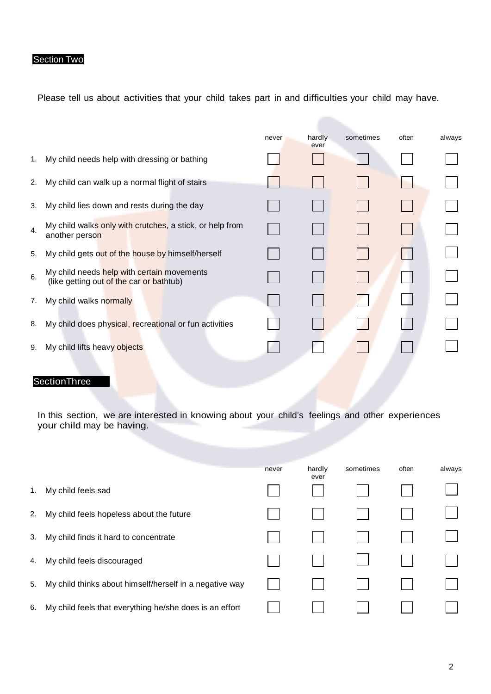#### Section Two

Please tell us about activities that your child takes part in and difficulties your child may have.

|    |                                                                                        | never | hardly<br>ever | sometimes | often | always |
|----|----------------------------------------------------------------------------------------|-------|----------------|-----------|-------|--------|
| 1. | My child needs help with dressing or bathing                                           |       |                |           |       |        |
| 2. | My child can walk up a normal flight of stairs                                         |       |                |           |       |        |
| 3. | My child lies down and rests during the day                                            |       |                |           |       |        |
| 4. | My child walks only with crutches, a stick, or help from<br>another person             |       |                |           |       |        |
| 5. | My child gets out of the house by himself/herself                                      |       |                |           |       |        |
| 6. | My child needs help with certain movements<br>(like getting out of the car or bathtub) |       |                |           |       |        |
| 7. | My child walks normally                                                                |       |                |           |       |        |
| 8. | My child does physical, recreational or fun activities                                 |       |                |           |       |        |
| 9. | My child lifts heavy objects                                                           |       |                |           |       |        |
|    |                                                                                        |       |                |           |       |        |

#### **SectionThree**

In this section, we are interested in knowing about your child's feelings and other experiences your child may be having.

|    |                                                         | never | hardly<br>ever | sometimes | often | always |
|----|---------------------------------------------------------|-------|----------------|-----------|-------|--------|
| 1. | My child feels sad                                      |       |                |           |       |        |
| 2. | My child feels hopeless about the future                |       |                |           |       |        |
| 3. | My child finds it hard to concentrate                   |       |                |           |       |        |
| 4. | My child feels discouraged                              |       |                |           |       |        |
| 5. | My child thinks about himself/herself in a negative way |       |                |           |       |        |
| 6. | My child feels that everything he/she does is an effort |       |                |           |       |        |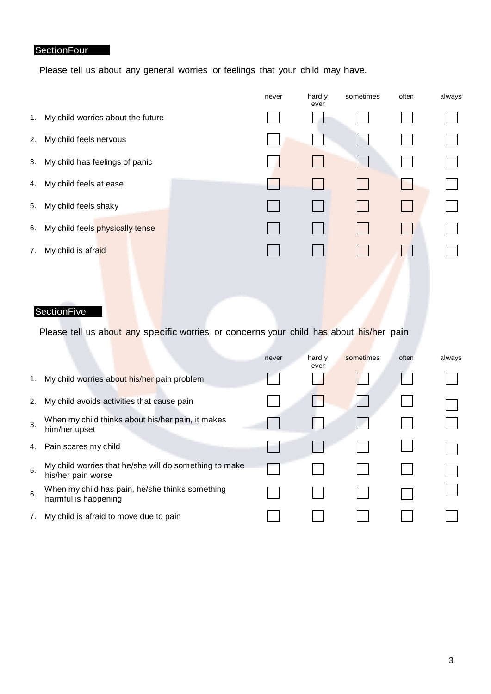#### **SectionFour**

Please tell us about any general worries or feelings that your child may have.

|    |                                   | never | hardly<br>ever | sometimes | often | always |
|----|-----------------------------------|-------|----------------|-----------|-------|--------|
| 1. | My child worries about the future |       |                |           |       |        |
| 2. | My child feels nervous            |       |                |           |       |        |
| 3. | My child has feelings of panic    |       |                |           |       |        |
| 4. | My child feels at ease            |       | $\mathbb{R}^n$ |           |       |        |
| 5. | My child feels shaky              |       |                |           |       |        |
| 6. | My child feels physically tense   |       |                |           |       |        |
| 7. | My child is afraid                |       |                |           |       |        |
|    |                                   |       |                |           |       |        |

#### **SectionFive**

Please tell us about any specific worries or concerns your child has about his/her pain

|    |                                                                              | never | hardly<br>ever | sometimes | often | always |
|----|------------------------------------------------------------------------------|-------|----------------|-----------|-------|--------|
| 1. | My child worries about his/her pain problem                                  |       |                |           |       |        |
| 2. | My child avoids activities that cause pain                                   |       |                |           |       |        |
| 3. | When my child thinks about his/her pain, it makes<br>him/her upset           |       |                |           |       |        |
| 4. | Pain scares my child                                                         |       |                |           |       |        |
| 5. | My child worries that he/she will do something to make<br>his/her pain worse |       |                |           |       |        |
| 6. | When my child has pain, he/she thinks something<br>harmful is happening      |       |                |           |       |        |
| 7. | My child is afraid to move due to pain                                       |       |                |           |       |        |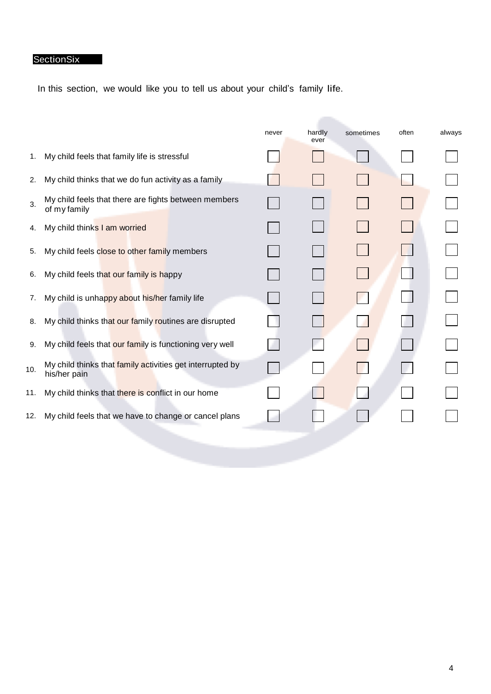## **SectionSix**

In this section, we would like you to tell us about your child's family life.

|     |                                                                           | never | hardly<br>ever | sometimes | often | always |
|-----|---------------------------------------------------------------------------|-------|----------------|-----------|-------|--------|
| 1.  | My child feels that family life is stressful                              |       |                |           |       |        |
| 2.  | My child thinks that we do fun activity as a family                       |       |                |           |       |        |
| 3.  | My child feels that there are fights between members<br>of my family      |       |                |           |       |        |
| 4.  | My child thinks I am worried                                              |       |                |           |       |        |
| 5.  | My child feels close to other family members                              |       |                |           |       |        |
| 6.  | My child feels that our family is happy                                   |       |                |           |       |        |
| 7.  | My child is unhappy about his/her family life                             |       |                |           |       |        |
| 8.  | My child thinks that our family routines are disrupted                    |       |                |           |       |        |
| 9.  | My child feels that our family is functioning very well                   |       |                |           |       |        |
| 10. | My child thinks that family activities get interrupted by<br>his/her pain |       |                |           |       |        |
| 11. | My child thinks that there is conflict in our home                        |       |                |           |       |        |
| 12. | My child feels that we have to change or cancel plans                     |       |                |           |       |        |
|     |                                                                           |       |                |           |       |        |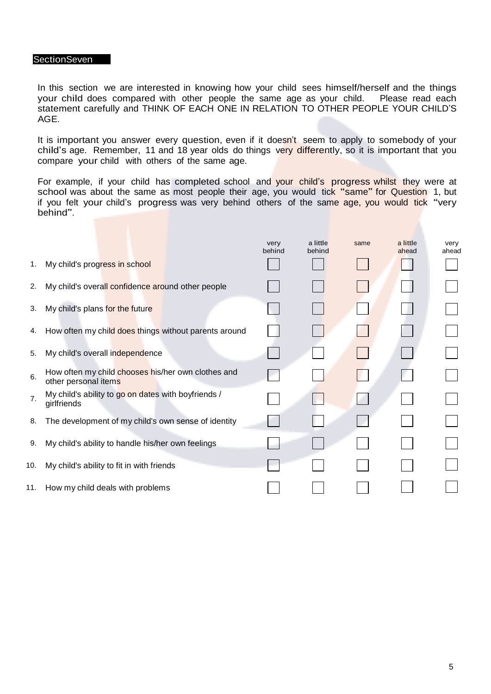#### **SectionSeven**

In this section we are interested in knowing how your child sees himself/herself and the things your child does compared with other people the same age as your child. Please read each statement carefully and THINK OF EACH ONE IN RELATION TO OTHER PEOPLE YOUR CHILD'S AGE.

It is important you answer every question, even if it doesn't seem to apply to somebody of your child's age. Remember, 11 and 18 year olds do things very differently, so it is important that you compare your child with others of the same age.

For example, if your child has completed school and your child's progress whilst they were at school was about the same as most people their age, you would tick "same" for Question 1, but if you felt your child's progress was very behind others of the same age, you would tick "very behind".

|     |                                                                            | very<br>behind | a little<br>behind | same | a little<br>ahead | very<br>ahead |
|-----|----------------------------------------------------------------------------|----------------|--------------------|------|-------------------|---------------|
| 1.  | My child's progress in school                                              |                |                    |      |                   |               |
| 2.  | My child's overall confidence around other people                          |                |                    |      |                   |               |
| 3.  | My child's plans for the future                                            |                |                    |      |                   |               |
| 4.  | How often my child does things without parents around                      |                |                    |      |                   |               |
| 5.  | My child's overall independence                                            |                |                    |      |                   |               |
| 6.  | How often my child chooses his/her own clothes and<br>other personal items |                |                    |      |                   |               |
| 7.  | My child's ability to go on dates with boyfriends /<br>girlfriends         |                |                    |      |                   |               |
| 8.  | The development of my child's own sense of identity                        |                |                    |      |                   |               |
| 9.  | My child's ability to handle his/her own feelings                          |                |                    |      |                   |               |
| 10. | My child's ability to fit in with friends                                  |                |                    |      |                   |               |
|     | 11. How my child deals with problems                                       |                |                    |      |                   |               |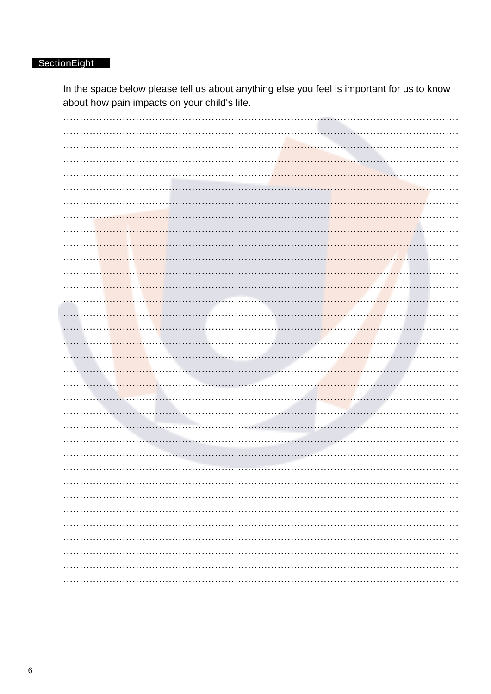### SectionEight

In the space below please tell us about anything else you feel is important for us to know about how pain impacts on your child's life.